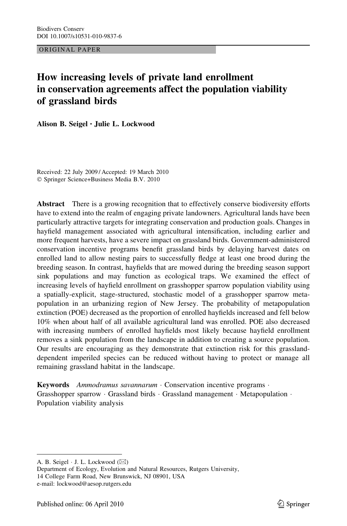ORIGINAL PAPER

# How increasing levels of private land enrollment in conservation agreements affect the population viability of grassland birds

Alison B. Seigel *•* Julie L. Lockwood

Received: 22 July 2009 / Accepted: 19 March 2010 Springer Science+Business Media B.V. 2010

Abstract There is a growing recognition that to effectively conserve biodiversity efforts have to extend into the realm of engaging private landowners. Agricultural lands have been particularly attractive targets for integrating conservation and production goals. Changes in hayfield management associated with agricultural intensification, including earlier and more frequent harvests, have a severe impact on grassland birds. Government-administered conservation incentive programs benefit grassland birds by delaying harvest dates on enrolled land to allow nesting pairs to successfully fledge at least one brood during the breeding season. In contrast, hayfields that are mowed during the breeding season support sink populations and may function as ecological traps. We examined the effect of increasing levels of hayfield enrollment on grasshopper sparrow population viability using a spatially-explicit, stage-structured, stochastic model of a grasshopper sparrow metapopulation in an urbanizing region of New Jersey. The probability of metapopulation extinction (POE) decreased as the proportion of enrolled hayfields increased and fell below 10% when about half of all available agricultural land was enrolled. POE also decreased with increasing numbers of enrolled hayfields most likely because hayfield enrollment removes a sink population from the landscape in addition to creating a source population. Our results are encouraging as they demonstrate that extinction risk for this grasslanddependent imperiled species can be reduced without having to protect or manage all remaining grassland habitat in the landscape.

Keywords Ammodramus savannarum · Conservation incentive programs · Grasshopper sparrow  $\cdot$  Grassland birds  $\cdot$  Grassland management  $\cdot$  Metapopulation  $\cdot$ Population viability analysis

A. B. Seigel · J. L. Lockwood (⊠)

Department of Ecology, Evolution and Natural Resources, Rutgers University, 14 College Farm Road, New Brunswick, NJ 08901, USA e-mail: lockwood@aesop.rutgers.edu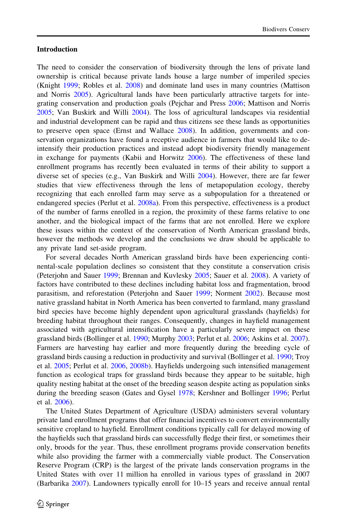# Introduction

The need to consider the conservation of biodiversity through the lens of private land ownership is critical because private lands house a large number of imperiled species (Knight [1999;](#page-13-0) Robles et al. [2008\)](#page-14-0) and dominate land uses in many countries (Mattison and Norris [2005](#page-13-0)). Agricultural lands have been particularly attractive targets for integrating conservation and production goals (Pejchar and Press [2006](#page-13-0); Mattison and Norris [2005;](#page-13-0) Van Buskirk and Willi [2004](#page-14-0)). The loss of agricultural landscapes via residential and industrial development can be rapid and thus citizens see these lands as opportunities to preserve open space (Ernst and Wallace [2008\)](#page-13-0). In addition, governments and conservation organizations have found a receptive audience in farmers that would like to deintensify their production practices and instead adopt biodiversity friendly management in exchange for payments (Kabii and Horwitz [2006\)](#page-13-0). The effectiveness of these land enrollment programs has recently been evaluated in terms of their ability to support a diverse set of species (e.g., Van Buskirk and Willi [2004](#page-14-0)). However, there are far fewer studies that view effectiveness through the lens of metapopulation ecology, thereby recognizing that each enrolled farm may serve as a subpopulation for a threatened or endangered species (Perlut et al. [2008a\)](#page-14-0). From this perspective, effectiveness is a product of the number of farms enrolled in a region, the proximity of these farms relative to one another, and the biological impact of the farms that are not enrolled. Here we explore these issues within the context of the conservation of North American grassland birds, however the methods we develop and the conclusions we draw should be applicable to any private land set-aside program.

For several decades North American grassland birds have been experiencing continental-scale population declines so consistent that they constitute a conservation crisis (Peterjohn and Sauer [1999;](#page-14-0) Brennan and Kuvlesky [2005](#page-13-0); Sauer et al. [2008\)](#page-14-0). A variety of factors have contributed to these declines including habitat loss and fragmentation, brood parasitism, and reforestation (Peterjohn and Sauer [1999](#page-14-0); Norment [2002](#page-13-0)). Because most native grassland habitat in North America has been converted to farmland, many grassland bird species have become highly dependent upon agricultural grasslands (hayfields) for breeding habitat throughout their ranges. Consequently, changes in hayfield management associated with agricultural intensification have a particularly severe impact on these grassland birds (Bollinger et al. [1990](#page-13-0); Murphy [2003](#page-13-0); Perlut et al. [2006;](#page-13-0) Askins et al. [2007](#page-13-0)). Farmers are harvesting hay earlier and more frequently during the breeding cycle of grassland birds causing a reduction in productivity and survival (Bollinger et al. [1990](#page-13-0); Troy et al. [2005;](#page-14-0) Perlut et al. [2006](#page-13-0), [2008b](#page-14-0)). Hayfields undergoing such intensified management function as ecological traps for grassland birds because they appear to be suitable, high quality nesting habitat at the onset of the breeding season despite acting as population sinks during the breeding season (Gates and Gysel [1978;](#page-13-0) Kershner and Bollinger [1996;](#page-13-0) Perlut et al. [2006](#page-13-0)).

The United States Department of Agriculture (USDA) administers several voluntary private land enrollment programs that offer financial incentives to convert environmentally sensitive cropland to hayfield. Enrollment conditions typically call for delayed mowing of the hayfields such that grassland birds can successfully fledge their first, or sometimes their only, broods for the year. Thus, these enrollment programs provide conservation benefits while also providing the farmer with a commercially viable product. The Conservation Reserve Program (CRP) is the largest of the private lands conservation programs in the United States with over 11 million ha enrolled in various types of grassland in 2007 (Barbarika [2007\)](#page-13-0). Landowners typically enroll for 10–15 years and receive annual rental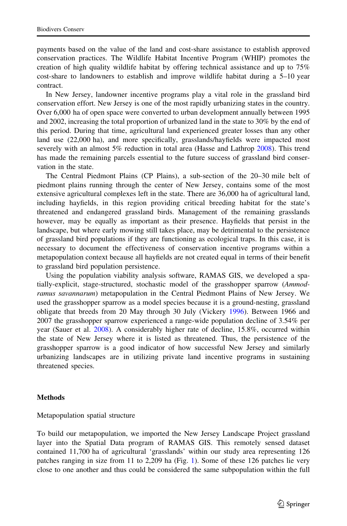payments based on the value of the land and cost-share assistance to establish approved conservation practices. The Wildlife Habitat Incentive Program (WHIP) promotes the creation of high quality wildlife habitat by offering technical assistance and up to 75% cost-share to landowners to establish and improve wildlife habitat during a 5–10 year contract.

In New Jersey, landowner incentive programs play a vital role in the grassland bird conservation effort. New Jersey is one of the most rapidly urbanizing states in the country. Over 6,000 ha of open space were converted to urban development annually between 1995 and 2002, increasing the total proportion of urbanized land in the state to 30% by the end of this period. During that time, agricultural land experienced greater losses than any other land use (22,000 ha), and more specifically, grasslands/hayfields were impacted most severely with an almost 5% reduction in total area (Hasse and Lathrop [2008](#page-13-0)). This trend has made the remaining parcels essential to the future success of grassland bird conservation in the state.

The Central Piedmont Plains (CP Plains), a sub-section of the 20–30 mile belt of piedmont plains running through the center of New Jersey, contains some of the most extensive agricultural complexes left in the state. There are 36,000 ha of agricultural land, including hayfields, in this region providing critical breeding habitat for the state's threatened and endangered grassland birds. Management of the remaining grasslands however, may be equally as important as their presence. Hayfields that persist in the landscape, but where early mowing still takes place, may be detrimental to the persistence of grassland bird populations if they are functioning as ecological traps. In this case, it is necessary to document the effectiveness of conservation incentive programs within a metapopulation context because all hayfields are not created equal in terms of their benefit to grassland bird population persistence.

Using the population viability analysis software, RAMAS GIS, we developed a spatially-explicit, stage-structured, stochastic model of the grasshopper sparrow (Ammodramus savannarum) metapopulation in the Central Piedmont Plains of New Jersey. We used the grasshopper sparrow as a model species because it is a ground-nesting, grassland obligate that breeds from 20 May through 30 July (Vickery [1996](#page-14-0)). Between 1966 and 2007 the grasshopper sparrow experienced a range-wide population decline of 3.54% per year (Sauer et al. [2008\)](#page-14-0). A considerably higher rate of decline, 15.8%, occurred within the state of New Jersey where it is listed as threatened. Thus, the persistence of the grasshopper sparrow is a good indicator of how successful New Jersey and similarly urbanizing landscapes are in utilizing private land incentive programs in sustaining threatened species.

#### **Methods**

#### Metapopulation spatial structure

To build our metapopulation, we imported the New Jersey Landscape Project grassland layer into the Spatial Data program of RAMAS GIS. This remotely sensed dataset contained 11,700 ha of agricultural 'grasslands' within our study area representing 126 patches ranging in size from 11 to 2,209 ha (Fig. [1\)](#page-3-0). Some of these 126 patches lie very close to one another and thus could be considered the same subpopulation within the full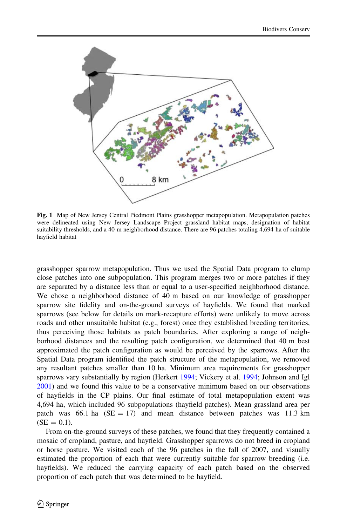<span id="page-3-0"></span>

Fig. 1 Map of New Jersey Central Piedmont Plains grasshopper metapopulation. Metapopulation patches were delineated using New Jersey Landscape Project grassland habitat maps, designation of habitat suitability thresholds, and a 40 m neighborhood distance. There are 96 patches totaling 4,694 ha of suitable hayfield habitat

grasshopper sparrow metapopulation. Thus we used the Spatial Data program to clump close patches into one subpopulation. This program merges two or more patches if they are separated by a distance less than or equal to a user-specified neighborhood distance. We chose a neighborhood distance of 40 m based on our knowledge of grasshopper sparrow site fidelity and on-the-ground surveys of hayfields. We found that marked sparrows (see below for details on mark-recapture efforts) were unlikely to move across roads and other unsuitable habitat (e.g., forest) once they established breeding territories, thus perceiving those habitats as patch boundaries. After exploring a range of neighborhood distances and the resulting patch configuration, we determined that 40 m best approximated the patch configuration as would be perceived by the sparrows. After the Spatial Data program identified the patch structure of the metapopulation, we removed any resultant patches smaller than 10 ha. Minimum area requirements for grasshopper sparrows vary substantially by region (Herkert [1994](#page-13-0); Vickery et al. [1994](#page-14-0); Johnson and Igl [2001\)](#page-13-0) and we found this value to be a conservative minimum based on our observations of hayfields in the CP plains. Our final estimate of total metapopulation extent was 4,694 ha, which included 96 subpopulations (hayfield patches). Mean grassland area per patch was 66.1 ha  $(SE = 17)$  and mean distance between patches was 11.3 km  $(SE = 0.1)$ .

From on-the-ground surveys of these patches, we found that they frequently contained a mosaic of cropland, pasture, and hayfield. Grasshopper sparrows do not breed in cropland or horse pasture. We visited each of the 96 patches in the fall of 2007, and visually estimated the proportion of each that were currently suitable for sparrow breeding (i.e. hayfields). We reduced the carrying capacity of each patch based on the observed proportion of each patch that was determined to be hayfield.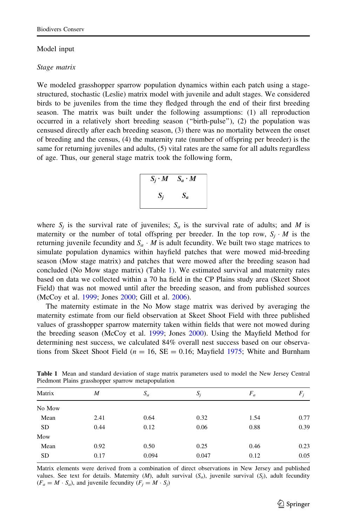#### <span id="page-4-0"></span>Model input

#### Stage matrix

We modeled grasshopper sparrow population dynamics within each patch using a stagestructured, stochastic (Leslie) matrix model with juvenile and adult stages. We considered birds to be juveniles from the time they fledged through the end of their first breeding season. The matrix was built under the following assumptions: (1) all reproduction occurred in a relatively short breeding season (''birth-pulse''), (2) the population was censused directly after each breeding season, (3) there was no mortality between the onset of breeding and the census, (4) the maternity rate (number of offspring per breeder) is the same for returning juveniles and adults, (5) vital rates are the same for all adults regardless of age. Thus, our general stage matrix took the following form,

$$
S_j \cdot M \quad S_a \cdot M
$$

$$
S_j \quad S_a
$$

where  $S_i$  is the survival rate of juveniles;  $S_a$  is the survival rate of adults; and M is maternity or the number of total offspring per breeder. In the top row,  $S_i \cdot M$  is the returning juvenile fecundity and  $S_a \cdot M$  is adult fecundity. We built two stage matrices to simulate population dynamics within hayfield patches that were mowed mid-breeding season (Mow stage matrix) and patches that were mowed after the breeding season had concluded (No Mow stage matrix) (Table 1). We estimated survival and maternity rates based on data we collected within a 70 ha field in the CP Plains study area (Skeet Shoot Field) that was not mowed until after the breeding season, and from published sources (McCoy et al. [1999;](#page-13-0) Jones [2000;](#page-13-0) Gill et al. [2006\)](#page-13-0).

The maternity estimate in the No Mow stage matrix was derived by averaging the maternity estimate from our field observation at Skeet Shoot Field with three published values of grasshopper sparrow maternity taken within fields that were not mowed during the breeding season (McCoy et al. [1999;](#page-13-0) Jones [2000](#page-13-0)). Using the Mayfield Method for determining nest success, we calculated 84% overall nest success based on our observations from Skeet Shoot Field ( $n = 16$ , SE = 0.16; Mayfield [1975](#page-13-0); White and Burnham

| Matrix    | M    | $S_a$ | $S_i$ | $F_a$ | $F_i$ |
|-----------|------|-------|-------|-------|-------|
| No Mow    |      |       |       |       |       |
| Mean      | 2.41 | 0.64  | 0.32  | 1.54  | 0.77  |
| <b>SD</b> | 0.44 | 0.12  | 0.06  | 0.88  | 0.39  |
| Mow       |      |       |       |       |       |
| Mean      | 0.92 | 0.50  | 0.25  | 0.46  | 0.23  |
| <b>SD</b> | 0.17 | 0.094 | 0.047 | 0.12  | 0.05  |
|           |      |       |       |       |       |

Table 1 Mean and standard deviation of stage matrix parameters used to model the New Jersey Central Piedmont Plains grasshopper sparrow metapopulation

Matrix elements were derived from a combination of direct observations in New Jersey and published values. See text for details. Maternity (*M*), adult survival  $(S_a)$ , juvenile survival  $(S_i)$ , adult fecundity  $(F_a = M \cdot S_a)$ , and juvenile fecundity  $(F_i = M \cdot S_i)$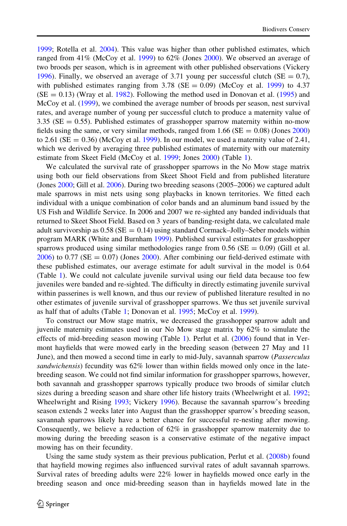[1999;](#page-14-0) Rotella et al. [2004](#page-14-0)). This value was higher than other published estimates, which ranged from  $41\%$  (McCoy et al. [1999\)](#page-13-0) to  $62\%$  (Jones [2000\)](#page-13-0). We observed an average of two broods per season, which is in agreement with other published observations (Vickery [1996\)](#page-14-0). Finally, we observed an average of 3.71 young per successful clutch ( $SE = 0.7$ ), with published estimates ranging from 3.78 ( $SE = 0.09$ ) (McCoy et al. [1999\)](#page-13-0) to 4.37  $(SE = 0.13)$  (Wray et al. [1982](#page-14-0)). Following the method used in Donovan et al. ([1995\)](#page-13-0) and McCoy et al. [\(1999](#page-13-0)), we combined the average number of broods per season, nest survival rates, and average number of young per successful clutch to produce a maternity value of  $3.35$  (SE = 0.55). Published estimates of grasshopper sparrow maternity within no-mow fields using the same, or very similar methods, ranged from  $1.66$  (SE = 0.08) (Jones [2000](#page-13-0)) to 2.61 ( $SE = 0.36$ ) (McCoy et al. [1999\)](#page-13-0). In our model, we used a maternity value of 2.41, which we derived by averaging three published estimates of maternity with our maternity estimate from Skeet Field (McCoy et al. [1999](#page-13-0); Jones [2000](#page-13-0)) (Table [1](#page-4-0)).

We calculated the survival rate of grasshopper sparrows in the No Mow stage matrix using both our field observations from Skeet Shoot Field and from published literature (Jones [2000](#page-13-0); Gill et al. [2006\)](#page-13-0). During two breeding seasons (2005–2006) we captured adult male sparrows in mist nets using song playbacks in known territories. We fitted each individual with a unique combination of color bands and an aluminum band issued by the US Fish and Wildlife Service. In 2006 and 2007 we re-sighted any banded individuals that returned to Skeet Shoot Field. Based on 3 years of banding-resight data, we calculated male adult survivorship as  $0.58$  (SE = 0.14) using standard Cormack–Jolly–Seber models within program MARK (White and Burnham [1999](#page-14-0)). Published survival estimates for grasshopper sparrows produced using similar methodologies range from 0.56 ( $SE = 0.09$ ) (Gill et al.  $2006$ ) to 0.77 (SE = 0.07) (Jones  $2000$ ). After combining our field-derived estimate with these published estimates, our average estimate for adult survival in the model is 0.64 (Table [1](#page-4-0)). We could not calculate juvenile survival using our field data because too few juveniles were banded and re-sighted. The difficulty in directly estimating juvenile survival within passerines is well known, and thus our review of published literature resulted in no other estimates of juvenile survival of grasshopper sparrows. We thus set juvenile survival as half that of adults (Table [1](#page-4-0); Donovan et al. [1995;](#page-13-0) McCoy et al. [1999](#page-13-0)).

To construct our Mow stage matrix, we decreased the grasshopper sparrow adult and juvenile maternity estimates used in our No Mow stage matrix by 62% to simulate the effects of mid-breeding season mowing (Table [1](#page-4-0)). Perlut et al. ([2006](#page-13-0)) found that in Vermont hayfields that were mowed early in the breeding season (between 27 May and 11 June), and then mowed a second time in early to mid-July, savannah sparrow (Passerculus sandwichensis) fecundity was 62% lower than within fields mowed only once in the latebreeding season. We could not find similar information for grasshopper sparrows, however, both savannah and grasshopper sparrows typically produce two broods of similar clutch sizes during a breeding season and share other life history traits (Wheelwright et al. [1992;](#page-14-0) Wheelwright and Rising [1993](#page-14-0); Vickery [1996\)](#page-14-0). Because the savannah sparrow's breeding season extends 2 weeks later into August than the grasshopper sparrow's breeding season, savannah sparrows likely have a better chance for successful re-nesting after mowing. Consequently, we believe a reduction of 62% in grasshopper sparrow maternity due to mowing during the breeding season is a conservative estimate of the negative impact mowing has on their fecundity.

Using the same study system as their previous publication, Perlut et al. ([2008b](#page-14-0)) found that hayfield mowing regimes also influenced survival rates of adult savannah sparrows. Survival rates of breeding adults were 22% lower in hayfields mowed once early in the breeding season and once mid-breeding season than in hayfields mowed late in the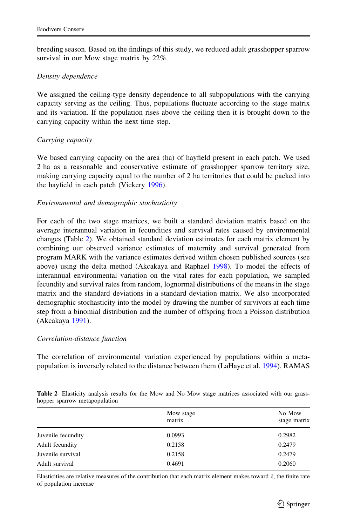<span id="page-6-0"></span>breeding season. Based on the findings of this study, we reduced adult grasshopper sparrow survival in our Mow stage matrix by 22%.

## Density dependence

We assigned the ceiling-type density dependence to all subpopulations with the carrying capacity serving as the ceiling. Thus, populations fluctuate according to the stage matrix and its variation. If the population rises above the ceiling then it is brought down to the carrying capacity within the next time step.

# Carrying capacity

We based carrying capacity on the area (ha) of hayfield present in each patch. We used 2 ha as a reasonable and conservative estimate of grasshopper sparrow territory size, making carrying capacity equal to the number of 2 ha territories that could be packed into the hayfield in each patch (Vickery [1996\)](#page-14-0).

# Environmental and demographic stochasticity

For each of the two stage matrices, we built a standard deviation matrix based on the average interannual variation in fecundities and survival rates caused by environmental changes (Table 2). We obtained standard deviation estimates for each matrix element by combining our observed variance estimates of maternity and survival generated from program MARK with the variance estimates derived within chosen published sources (see above) using the delta method (Akcakaya and Raphael [1998](#page-13-0)). To model the effects of interannual environmental variation on the vital rates for each population, we sampled fecundity and survival rates from random, lognormal distributions of the means in the stage matrix and the standard deviations in a standard deviation matrix. We also incorporated demographic stochasticity into the model by drawing the number of survivors at each time step from a binomial distribution and the number of offspring from a Poisson distribution (Akcakaya [1991\)](#page-13-0).

#### Correlation-distance function

The correlation of environmental variation experienced by populations within a metapopulation is inversely related to the distance between them (LaHaye et al. [1994](#page-13-0)). RAMAS

|                    | Mow stage<br>matrix | No Mow<br>stage matrix |
|--------------------|---------------------|------------------------|
| Juvenile fecundity | 0.0993              | 0.2982                 |
| Adult fecundity    | 0.2158              | 0.2479                 |
| Juvenile survival  | 0.2158              | 0.2479                 |
| Adult survival     | 0.4691              | 0.2060                 |
|                    |                     |                        |

Table 2 Elasticity analysis results for the Mow and No Mow stage matrices associated with our grasshopper sparrow metapopulation

Elasticities are relative measures of the contribution that each matrix element makes toward  $\lambda$ , the finite rate of population increase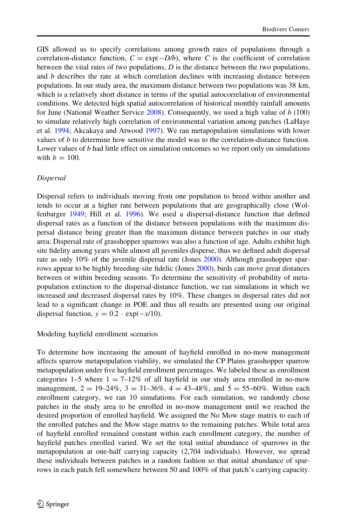GIS allowed us to specify correlations among growth rates of populations through a correlation-distance function,  $C = \exp(-D/b)$ , where C is the coefficient of correlation between the vital rates of two populations,  $D$  is the distance between the two populations, and  $b$  describes the rate at which correlation declines with increasing distance between populations. In our study area, the maximum distance between two populations was 38 km, which is a relatively short distance in terms of the spatial autocorrelation of environmental conditions. We detected high spatial autocorrelation of historical monthly rainfall amounts for June (National Weather Service  $2008$ ). Consequently, we used a high value of  $b(100)$ to simulate relatively high correlation of environmental variation among patches (LaHaye et al. [1994;](#page-13-0) Akcakaya and Atwood [1997\)](#page-13-0). We ran metapopulation simulations with lower values of b to determine how sensitive the model was to the correlation-distance function. Lower values of  $b$  had little effect on simulation outcomes so we report only on simulations with  $b = 100$ .

#### Dispersal

Dispersal refers to individuals moving from one population to breed within another and tends to occur at a higher rate between populations that are geographically close (Wolfenbarger [1949;](#page-14-0) Hill et al. [1996\)](#page-13-0). We used a dispersal-distance function that defined dispersal rates as a function of the distance between populations with the maximum dispersal distance being greater than the maximum distance between patches in our study area. Dispersal rate of grasshopper sparrows was also a function of age. Adults exhibit high site fidelity among years while almost all juveniles disperse, thus we defined adult dispersal rate as only 10% of the juvenile dispersal rate (Jones [2000\)](#page-13-0). Although grasshopper sparrows appear to be highly breeding-site fidelic (Jones [2000](#page-13-0)), birds can move great distances between or within breeding seasons. To determine the sensitivity of probability of metapopulation extinction to the dispersal-distance function, we ran simulations in which we increased and decreased dispersal rates by 10%. These changes in dispersal rates did not lead to a significant change in POE and thus all results are presented using our original dispersal function,  $y = 0.2 \cdot \exp(-x/10)$ .

# Modeling hayfield enrollment scenarios

To determine how increasing the amount of hayfield enrolled in no-mow management affects sparrow metapopulation viability, we simulated the CP Plains grasshopper sparrow metapopulation under five hayfield enrollment percentages. We labeled these as enrollment categories 1–5 where  $1 = 7-12\%$  of all hayfield in our study area enrolled in no-mow management,  $2 = 19-24\%, 3 = 31-36\%, 4 = 43-48\%, \text{ and } 5 = 55-60\%.$  Within each enrollment category, we ran 10 simulations. For each simulation, we randomly chose patches in the study area to be enrolled in no-mow management until we reached the desired proportion of enrolled hayfield. We assigned the No Mow stage matrix to each of the enrolled patches and the Mow stage matrix to the remaining patches. While total area of hayfield enrolled remained constant within each enrollment category, the number of hayfield patches enrolled varied. We set the total initial abundance of sparrows in the metapopulation at one-half carrying capacity (2,704 individuals). However, we spread these individuals between patches in a random fashion so that initial abundance of sparrows in each patch fell somewhere between 50 and 100% of that patch's carrying capacity.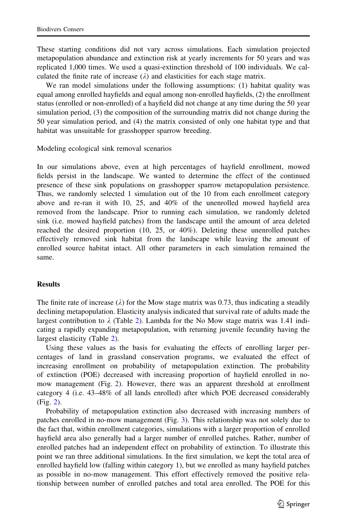These starting conditions did not vary across simulations. Each simulation projected metapopulation abundance and extinction risk at yearly increments for 50 years and was replicated 1,000 times. We used a quasi-extinction threshold of 100 individuals. We calculated the finite rate of increase  $(\lambda)$  and elasticities for each stage matrix.

We ran model simulations under the following assumptions: (1) habitat quality was equal among enrolled hayfields and equal among non-enrolled hayfields, (2) the enrollment status (enrolled or non-enrolled) of a hayfield did not change at any time during the 50 year simulation period, (3) the composition of the surrounding matrix did not change during the 50 year simulation period, and (4) the matrix consisted of only one habitat type and that habitat was unsuitable for grasshopper sparrow breeding.

Modeling ecological sink removal scenarios

In our simulations above, even at high percentages of hayfield enrollment, mowed fields persist in the landscape. We wanted to determine the effect of the continued presence of these sink populations on grasshopper sparrow metapopulation persistence. Thus, we randomly selected 1 simulation out of the 10 from each enrollment category above and re-ran it with 10, 25, and 40% of the unenrolled mowed hayfield area removed from the landscape. Prior to running each simulation, we randomly deleted sink (i.e. mowed hayfield patches) from the landscape until the amount of area deleted reached the desired proportion (10, 25, or 40%). Deleting these unenrolled patches effectively removed sink habitat from the landscape while leaving the amount of enrolled source habitat intact. All other parameters in each simulation remained the same.

### **Results**

The finite rate of increase  $(\lambda)$  for the Mow stage matrix was 0.73, thus indicating a steadily declining metapopulation. Elasticity analysis indicated that survival rate of adults made the largest contribution to  $\lambda$  (Table [2](#page-6-0)). Lambda for the No Mow stage matrix was 1.41 indicating a rapidly expanding metapopulation, with returning juvenile fecundity having the largest elasticity (Table [2](#page-6-0)).

Using these values as the basis for evaluating the effects of enrolling larger percentages of land in grassland conservation programs, we evaluated the effect of increasing enrollment on probability of metapopulation extinction. The probability of extinction (POE) decreased with increasing proportion of hayfield enrolled in nomow management (Fig. [2](#page-9-0)). However, there was an apparent threshold at enrollment category 4 (i.e. 43–48% of all lands enrolled) after which POE decreased considerably (Fig. [2\)](#page-9-0).

Probability of metapopulation extinction also decreased with increasing numbers of patches enrolled in no-mow management (Fig. [3](#page-9-0)). This relationship was not solely due to the fact that, within enrollment categories, simulations with a larger proportion of enrolled hayfield area also generally had a larger number of enrolled patches. Rather, number of enrolled patches had an independent effect on probability of extinction. To illustrate this point we ran three additional simulations. In the first simulation, we kept the total area of enrolled hayfield low (falling within category 1), but we enrolled as many hayfield patches as possible in no-mow management. This effort effectively removed the positive relationship between number of enrolled patches and total area enrolled. The POE for this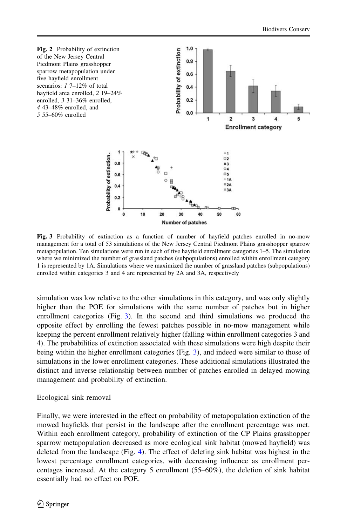<span id="page-9-0"></span>

Fig. 3 Probability of extinction as a function of number of hayfield patches enrolled in no-mow management for a total of 53 simulations of the New Jersey Central Piedmont Plains grasshopper sparrow metapopulation. Ten simulations were run in each of five hayfield enrollment categories 1–5. The simulation where we minimized the number of grassland patches (subpopulations) enrolled within enrollment category 1 is represented by 1A. Simulations where we maximized the number of grassland patches (subpopulations) enrolled within categories 3 and 4 are represented by 2A and 3A, respectively

simulation was low relative to the other simulations in this category, and was only slightly higher than the POE for simulations with the same number of patches but in higher enrollment categories (Fig. 3). In the second and third simulations we produced the opposite effect by enrolling the fewest patches possible in no-mow management while keeping the percent enrollment relatively higher (falling within enrollment categories 3 and 4). The probabilities of extinction associated with these simulations were high despite their being within the higher enrollment categories (Fig. 3), and indeed were similar to those of simulations in the lower enrollment categories. These additional simulations illustrated the distinct and inverse relationship between number of patches enrolled in delayed mowing management and probability of extinction.

# Ecological sink removal

Finally, we were interested in the effect on probability of metapopulation extinction of the mowed hayfields that persist in the landscape after the enrollment percentage was met. Within each enrollment category, probability of extinction of the CP Plains grasshopper sparrow metapopulation decreased as more ecological sink habitat (mowed hayfield) was deleted from the landscape (Fig. [4\)](#page-10-0). The effect of deleting sink habitat was highest in the lowest percentage enrollment categories, with decreasing influence as enrollment percentages increased. At the category 5 enrollment (55–60%), the deletion of sink habitat essentially had no effect on POE.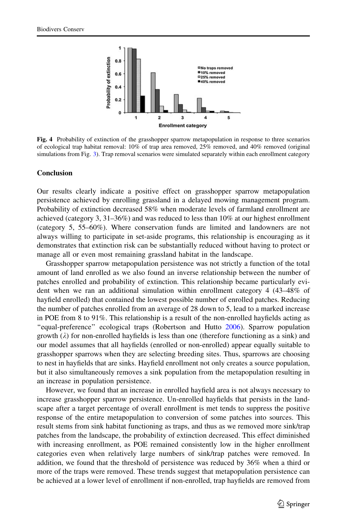<span id="page-10-0"></span>

Fig. 4 Probability of extinction of the grasshopper sparrow metapopulation in response to three scenarios of ecological trap habitat removal: 10% of trap area removed, 25% removed, and 40% removed (original simulations from Fig. [3](#page-9-0)). Trap removal scenarios were simulated separately within each enrollment category

### **Conclusion**

Our results clearly indicate a positive effect on grasshopper sparrow metapopulation persistence achieved by enrolling grassland in a delayed mowing management program. Probability of extinction decreased 58% when moderate levels of farmland enrollment are achieved (category 3, 31–36%) and was reduced to less than 10% at our highest enrollment (category 5, 55–60%). Where conservation funds are limited and landowners are not always willing to participate in set-aside programs, this relationship is encouraging as it demonstrates that extinction risk can be substantially reduced without having to protect or manage all or even most remaining grassland habitat in the landscape.

Grasshopper sparrow metapopulation persistence was not strictly a function of the total amount of land enrolled as we also found an inverse relationship between the number of patches enrolled and probability of extinction. This relationship became particularly evident when we ran an additional simulation within enrollment category 4 (43–48% of hayfield enrolled) that contained the lowest possible number of enrolled patches. Reducing the number of patches enrolled from an average of 28 down to 5, lead to a marked increase in POE from 8 to 91%. This relationship is a result of the non-enrolled hayfields acting as ''equal-preference'' ecological traps (Robertson and Hutto [2006\)](#page-14-0). Sparrow population growth  $(\lambda)$  for non-enrolled hayfields is less than one (therefore functioning as a sink) and our model assumes that all hayfields (enrolled or non-enrolled) appear equally suitable to grasshopper sparrows when they are selecting breeding sites. Thus, sparrows are choosing to nest in hayfields that are sinks. Hayfield enrollment not only creates a source population, but it also simultaneously removes a sink population from the metapopulation resulting in an increase in population persistence.

However, we found that an increase in enrolled hayfield area is not always necessary to increase grasshopper sparrow persistence. Un-enrolled hayfields that persists in the landscape after a target percentage of overall enrollment is met tends to suppress the positive response of the entire metapopulation to conversion of some patches into sources. This result stems from sink habitat functioning as traps, and thus as we removed more sink/trap patches from the landscape, the probability of extinction decreased. This effect diminished with increasing enrollment, as POE remained consistently low in the higher enrollment categories even when relatively large numbers of sink/trap patches were removed. In addition, we found that the threshold of persistence was reduced by 36% when a third or more of the traps were removed. These trends suggest that metapopulation persistence can be achieved at a lower level of enrollment if non-enrolled, trap hayfields are removed from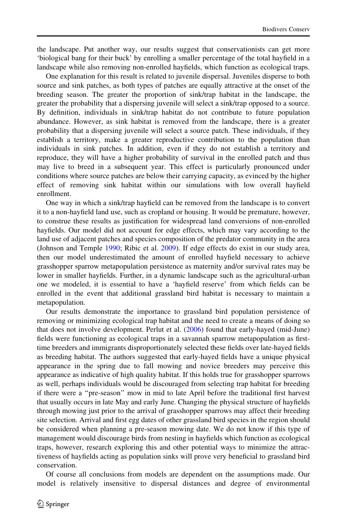the landscape. Put another way, our results suggest that conservationists can get more 'biological bang for their buck' by enrolling a smaller percentage of the total hayfield in a landscape while also removing non-enrolled hayfields, which function as ecological traps.

One explanation for this result is related to juvenile dispersal. Juveniles disperse to both source and sink patches, as both types of patches are equally attractive at the onset of the breeding season. The greater the proportion of sink/trap habitat in the landscape, the greater the probability that a dispersing juvenile will select a sink/trap opposed to a source. By definition, individuals in sink/trap habitat do not contribute to future population abundance. However, as sink habitat is removed from the landscape, there is a greater probability that a dispersing juvenile will select a source patch. These individuals, if they establish a territory, make a greater reproductive contribution to the population than individuals in sink patches. In addition, even if they do not establish a territory and reproduce, they will have a higher probability of survival in the enrolled patch and thus may live to breed in a subsequent year. This effect is particularly pronounced under conditions where source patches are below their carrying capacity, as evinced by the higher effect of removing sink habitat within our simulations with low overall hayfield enrollment.

One way in which a sink/trap hayfield can be removed from the landscape is to convert it to a non-hayfield land use, such as cropland or housing. It would be premature, however, to construe these results as justification for widespread land conversions of non-enrolled hayfields. Our model did not account for edge effects, which may vary according to the land use of adjacent patches and species composition of the predator community in the area (Johnson and Temple [1990;](#page-13-0) Ribic et al. [2009\)](#page-14-0). If edge effects do exist in our study area, then our model underestimated the amount of enrolled hayfield necessary to achieve grasshopper sparrow metapopulation persistence as maternity and/or survival rates may be lower in smaller hayfields. Further, in a dynamic landscape such as the agricultural-urban one we modeled, it is essential to have a 'hayfield reserve' from which fields can be enrolled in the event that additional grassland bird habitat is necessary to maintain a metapopulation.

Our results demonstrate the importance to grassland bird population persistence of removing or minimizing ecological trap habitat and the need to create a means of doing so that does not involve development. Perlut et al. ([2006\)](#page-13-0) found that early-hayed (mid-June) fields were functioning as ecological traps in a savannah sparrow metapopulation as firsttime breeders and immigrants disproportionately selected these fields over late-hayed fields as breeding habitat. The authors suggested that early-hayed fields have a unique physical appearance in the spring due to fall mowing and novice breeders may perceive this appearance as indicative of high quality habitat. If this holds true for grasshopper sparrows as well, perhaps individuals would be discouraged from selecting trap habitat for breeding if there were a ''pre-season'' mow in mid to late April before the traditional first harvest that usually occurs in late May and early June. Changing the physical structure of hayfields through mowing just prior to the arrival of grasshopper sparrows may affect their breeding site selection. Arrival and first egg dates of other grassland bird species in the region should be considered when planning a pre-season mowing date. We do not know if this type of management would discourage birds from nesting in hayfields which function as ecological traps, however, research exploring this and other potential ways to minimize the attractiveness of hayfields acting as population sinks will prove very beneficial to grassland bird conservation.

Of course all conclusions from models are dependent on the assumptions made. Our model is relatively insensitive to dispersal distances and degree of environmental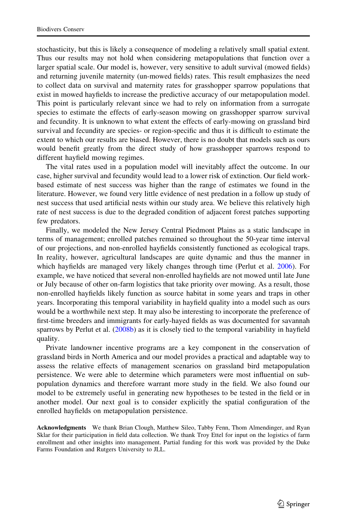stochasticity, but this is likely a consequence of modeling a relatively small spatial extent. Thus our results may not hold when considering metapopulations that function over a larger spatial scale. Our model is, however, very sensitive to adult survival (mowed fields) and returning juvenile maternity (un-mowed fields) rates. This result emphasizes the need to collect data on survival and maternity rates for grasshopper sparrow populations that exist in mowed hayfields to increase the predictive accuracy of our metapopulation model. This point is particularly relevant since we had to rely on information from a surrogate species to estimate the effects of early-season mowing on grasshopper sparrow survival and fecundity. It is unknown to what extent the effects of early-mowing on grassland bird survival and fecundity are species- or region-specific and thus it is difficult to estimate the extent to which our results are biased. However, there is no doubt that models such as ours would benefit greatly from the direct study of how grasshopper sparrows respond to different hayfield mowing regimes.

The vital rates used in a population model will inevitably affect the outcome. In our case, higher survival and fecundity would lead to a lower risk of extinction. Our field workbased estimate of nest success was higher than the range of estimates we found in the literature. However, we found very little evidence of nest predation in a follow up study of nest success that used artificial nests within our study area. We believe this relatively high rate of nest success is due to the degraded condition of adjacent forest patches supporting few predators.

Finally, we modeled the New Jersey Central Piedmont Plains as a static landscape in terms of management; enrolled patches remained so throughout the 50-year time interval of our projections, and non-enrolled hayfields consistently functioned as ecological traps. In reality, however, agricultural landscapes are quite dynamic and thus the manner in which hayfields are managed very likely changes through time (Perlut et al. [2006](#page-13-0)). For example, we have noticed that several non-enrolled hayfields are not mowed until late June or July because of other on-farm logistics that take priority over mowing. As a result, those non-enrolled hayfields likely function as source habitat in some years and traps in other years. Incorporating this temporal variability in hayfield quality into a model such as ours would be a worthwhile next step. It may also be interesting to incorporate the preference of first-time breeders and immigrants for early-hayed fields as was documented for savannah sparrows by Perlut et al. ([2008b](#page-14-0)) as it is closely tied to the temporal variability in hayfield quality.

Private landowner incentive programs are a key component in the conservation of grassland birds in North America and our model provides a practical and adaptable way to assess the relative effects of management scenarios on grassland bird metapopulation persistence. We were able to determine which parameters were most influential on subpopulation dynamics and therefore warrant more study in the field. We also found our model to be extremely useful in generating new hypotheses to be tested in the field or in another model. Our next goal is to consider explicitly the spatial configuration of the enrolled hayfields on metapopulation persistence.

Acknowledgments We thank Brian Clough, Matthew Sileo, Tabby Fenn, Thom Almendinger, and Ryan Sklar for their participation in field data collection. We thank Troy Ettel for input on the logistics of farm enrollment and other insights into management. Partial funding for this work was provided by the Duke Farms Foundation and Rutgers University to JLL.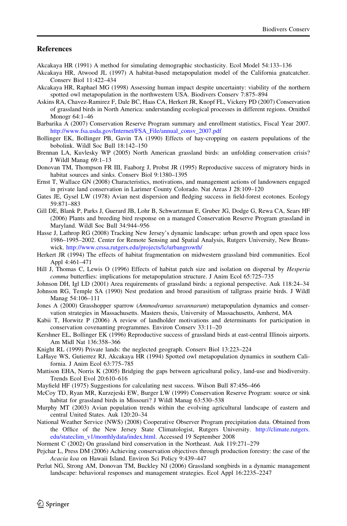#### <span id="page-13-0"></span>**References**

Akcakaya HR (1991) A method for simulating demographic stochasticity. Ecol Model 54:133–136

- Akcakaya HR, Atwood JL (1997) A habitat-based metapopulation model of the California gnatcatcher. Conserv Biol 11:422–434
- Akcakaya HR, Raphael MG (1998) Assessing human impact despite uncertainty: viability of the northern spotted owl metapopulation in the northwestern USA. Biodivers Conserv 7:875–894
- Askins RA, Chavez-Ramirez F, Dale BC, Haas CA, Herkert JR, Knopf FL, Vickery PD (2007) Conservation of grassland birds in North America: understanding ecological processes in different regions. Ornithol Monogr 64:1–46
- Barbarika A (2007) Conservation Reserve Program summary and enrollment statistics, Fiscal Year 2007. [http://www.fsa.usda.gov/Internet/FSA\\_File/annual\\_consv\\_2007.pdf](http://www.fsa.usda.gov/Internet/FSA_File/annual_consv_2007.pdf)
- Bollinger EK, Bollinger PB, Gavin TA (1990) Effects of hay-cropping on eastern populations of the bobolink. Wildl Soc Bull 18:142–150
- Brennan LA, Kuvlesky WP (2005) North American grassland birds: an unfolding conservation crisis? J Wildl Manag 69:1–13
- Donovan TM, Thompson FR III, Faaborg J, Probst JR (1995) Reproductive success of migratory birds in habitat sources and sinks. Conserv Biol 9:1380–1395
- Ernst T, Wallace GN (2008) Characteristics, motivations, and management actions of landowners engaged in private land conservation in Larimer County Colorado. Nat Areas J 28:109–120
- Gates JE, Gysel LW (1978) Avian nest dispersion and fledging success in field-forest ecotones. Ecology 59:871–883
- Gill DE, Blank P, Parks J, Guerard JB, Lohr B, Schwartzman E, Gruber JG, Dodge G, Rewa CA, Sears HF (2006) Plants and breeding bird response on a managed Conservation Reserve Program grassland in Maryland. Wildl Soc Bull 34:944–956
- Hasse J, Lathrop RG (2008) Tracking New Jersey's dynamic landscape: urban growth and open space loss 1986–1995–2002. Center for Remote Sensing and Spatial Analysis, Rutgers University, New Brunswick. <http://www.crssa.rutgers.edu/projects/lc/urbangrowth/>
- Herkert JR (1994) The effects of habitat fragmentation on midwestern grassland bird communities. Ecol Appl 4:461–471
- Hill J, Thomas C, Lewis O (1996) Effects of habitat patch size and isolation on dispersal by *Hesperia* comma butterflies: implications for metapopulation structure. J Anim Ecol 65:725–735

Johnson DH, Igl LD (2001) Area requirements of grassland birds: a regional perspective. Auk 118:24–34

- Johnson RG, Temple SA (1990) Nest predation and brood parasitism of tallgrass prairie birds. J Wildl Manag 54:106–111
- Jones A (2000) Grasshopper sparrow (Ammodramus savannarum) metapopulation dynamics and conservation strategies in Massachusetts. Masters thesis, University of Massachusetts, Amherst, MA
- Kabii T, Horwitz P (2006) A review of landholder motivations and determinants for participation in conservation covenanting programmes. Environ Conserv 33:11–20
- Kershner EL, Bollinger EK (1996) Reproductive success of grassland birds at east-central Illinois airports. Am Midl Nat 136:358–366
- Knight RL (1999) Private lands: the neglected geograph. Conserv Biol 13:223–224
- LaHaye WS, Gutierrez RJ, Akcakaya HR (1994) Spotted owl metapopulation dynamics in southern California. J Anim Ecol 63:775–785
- Mattison EHA, Norris K (2005) Bridging the gaps between agricultural policy, land-use and biodiversity. Trends Ecol Evol 20:610–616
- Mayfield HF (1975) Suggestions for calculating nest success. Wilson Bull 87:456–466
- McCoy TD, Ryan MR, Kurzejeski EW, Burger LW (1999) Conservation Reserve Program: source or sink habitat for grassland birds in Missouri? J Wildl Manag 63:530–538
- Murphy MT (2003) Avian population trends within the evolving agricultural landscape of eastern and central United States. Auk 120:20–34
- National Weather Service (NWS) (2008) Cooperative Observer Program precipitation data. Obtained from the Office of the New Jersey State Climatologist, Rutgers University. [http://climate.rutgers.](http://climate.rutgers.edu/stateclim_v1/monthlydata/index.html) [edu/stateclim\\_v1/monthlydata/index.html](http://climate.rutgers.edu/stateclim_v1/monthlydata/index.html). Accessed 19 September 2008

Norment C (2002) On grassland bird conservation in the Northeast. Auk 119:271–279

- Pejchar L, Press DM (2006) Achieving conservation objectives through production forestry: the case of the Acacia koa on Hawaii Island. Environ Sci Policy 9:439–447
- Perlut NG, Strong AM, Donovan TM, Buckley NJ (2006) Grassland songbirds in a dynamic management landscape: behavioral responses and management strategies. Ecol Appl 16:2235–2247